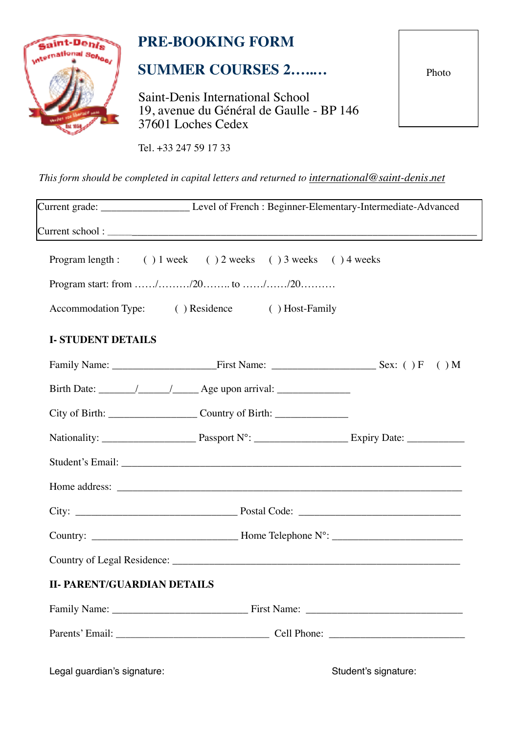

# **PRE-BOOKING FORM**

## **SUMMER COURSES 2…..…**

Saint-Denis International School 19, avenue du Général de Gaulle - BP 146 37601 Loches Cedex

Photo

Tel. +33 247 59 17 33

*This form should be completed in capital letters and returned to [international@saint-denis.net](mailto:international@saint-denis.net?subject=)* 

|                                    | Current grade: ____________________________Level of French : Beginner-Elementary-Intermediate-Advanced |
|------------------------------------|--------------------------------------------------------------------------------------------------------|
|                                    |                                                                                                        |
|                                    | Program length: () 1 week () 2 weeks () 3 weeks () 4 weeks                                             |
|                                    |                                                                                                        |
|                                    | Accommodation Type: () Residence () Host-Family                                                        |
| <b>I-STUDENT DETAILS</b>           |                                                                                                        |
|                                    |                                                                                                        |
|                                    |                                                                                                        |
|                                    | City of Birth: _________________________Country of Birth: ______________________                       |
|                                    |                                                                                                        |
|                                    |                                                                                                        |
|                                    |                                                                                                        |
|                                    |                                                                                                        |
|                                    |                                                                                                        |
|                                    |                                                                                                        |
| <b>II- PARENT/GUARDIAN DETAILS</b> |                                                                                                        |
|                                    |                                                                                                        |
|                                    |                                                                                                        |

Legal guardian's signature:  $\qquad \qquad$  Student's signature: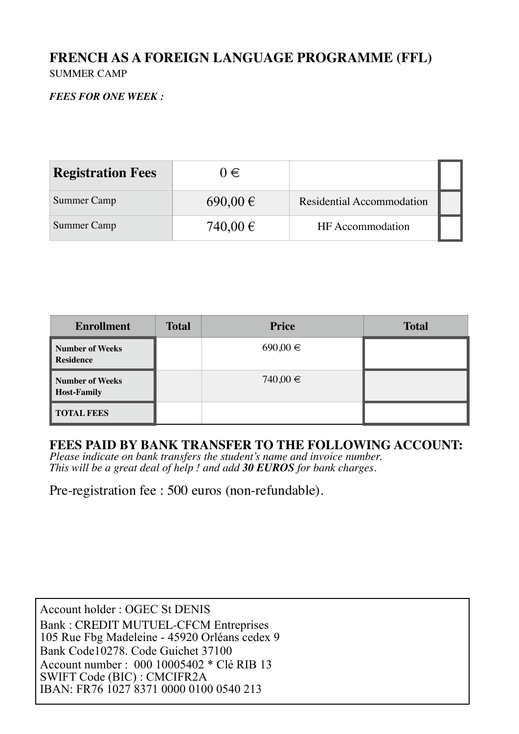## **FRENCH AS A FOREIGN LANGUAGE PROGRAMME (FFL)** SUMMER CAMP

### *FEES FOR ONE WEEK :*

| <b>Registration Fees</b> | $0 \in$      |                                  |  |
|--------------------------|--------------|----------------------------------|--|
| Summer Camp              | $690,00 \in$ | <b>Residential Accommodation</b> |  |
| Summer Camp              | 740,00 €     | HF Accommodation                 |  |

| <b>Enrollment</b>                     | <b>Total</b> | <b>Price</b> | <b>Total</b> |
|---------------------------------------|--------------|--------------|--------------|
| Number of Weeks<br><b>Residence</b>   |              | $690,00 \in$ |              |
| Number of Weeks<br><b>Host-Family</b> |              | 740,00 €     |              |
| <b>TOTAL FEES</b>                     |              |              |              |

## **FEES PAID BY BANK TRANSFER TO THE FOLLOWING ACCOUNT:**

*Please indicate on bank transfers the student's name and invoice number. This will be a great deal of help ! and add 30 EUROS for bank charges.*

Pre-registration fee : 500 euros (non-refundable).

Account holder : OGEC St DENIS Bank : CREDIT MUTUEL-CFCM Entreprises 105 Rue Fbg Madeleine - 45920 Orléans cedex 9 Bank Code10278. Code Guichet 37100 Account number : 000 10005402 \* Clé RIB 13 SWIFT Code (BIC) : CMCIFR2A IBAN: FR76 1027 8371 0000 0100 0540 213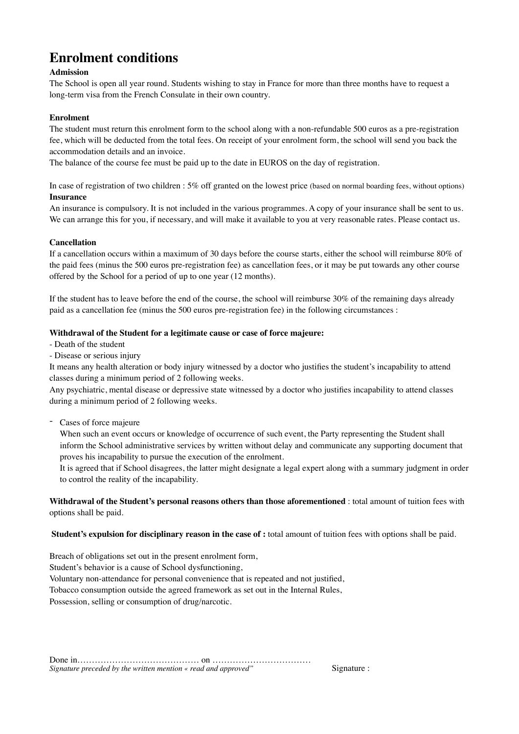## **Enrolment conditions**

#### **Admission**

The School is open all year round. Students wishing to stay in France for more than three months have to request a long-term visa from the French Consulate in their own country.

#### **Enrolment**

The student must return this enrolment form to the school along with a non-refundable 500 euros as a pre-registration fee, which will be deducted from the total fees. On receipt of your enrolment form, the school will send you back the accommodation details and an invoice.

The balance of the course fee must be paid up to the date in EUROS on the day of registration.

In case of registration of two children : 5% off granted on the lowest price (based on normal boarding fees, without options) **Insurance**

An insurance is compulsory. It is not included in the various programmes. A copy of your insurance shall be sent to us. We can arrange this for you, if necessary, and will make it available to you at very reasonable rates. Please contact us.

#### **Cancellation**

If a cancellation occurs within a maximum of 30 days before the course starts, either the school will reimburse 80% of the paid fees (minus the 500 euros pre-registration fee) as cancellation fees, or it may be put towards any other course offered by the School for a period of up to one year (12 months).

If the student has to leave before the end of the course, the school will reimburse 30% of the remaining days already paid as a cancellation fee (minus the 500 euros pre-registration fee) in the following circumstances :

#### **Withdrawal of the Student for a legitimate cause or case of force majeure:**

- Death of the student
- Disease or serious injury

It means any health alteration or body injury witnessed by a doctor who justifies the student's incapability to attend classes during a minimum period of 2 following weeks.

Any psychiatric, mental disease or depressive state witnessed by a doctor who justifies incapability to attend classes during a minimum period of 2 following weeks.

- Cases of force majeure

When such an event occurs or knowledge of occurrence of such event, the Party representing the Student shall inform the School administrative services by written without delay and communicate any supporting document that proves his incapability to pursue the execution of the enrolment.

It is agreed that if School disagrees, the latter might designate a legal expert along with a summary judgment in order to control the reality of the incapability.

**Withdrawal of the Student's personal reasons others than those aforementioned** : total amount of tuition fees with options shall be paid.

**Student's expulsion for disciplinary reason in the case of :** total amount of tuition fees with options shall be paid.

Breach of obligations set out in the present enrolment form,

Student's behavior is a cause of School dysfunctioning,

Voluntary non-attendance for personal convenience that is repeated and not justified,

Tobacco consumption outside the agreed framework as set out in the Internal Rules,

Possession, selling or consumption of drug/narcotic.